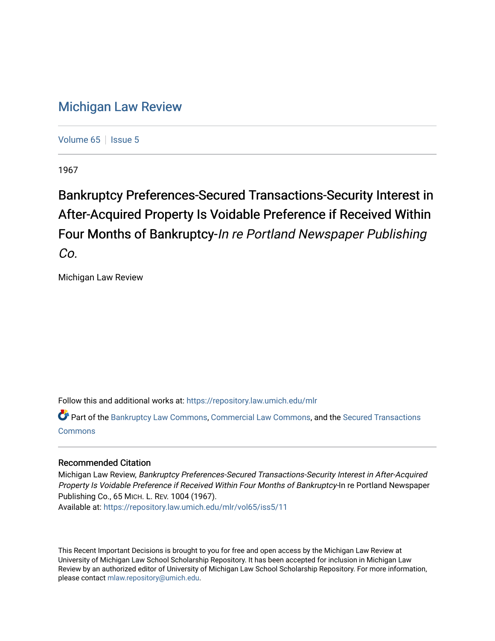## [Michigan Law Review](https://repository.law.umich.edu/mlr)

[Volume 65](https://repository.law.umich.edu/mlr/vol65) | [Issue 5](https://repository.law.umich.edu/mlr/vol65/iss5)

1967

## Bankruptcy Preferences-Secured Transactions-Security Interest in After-Acquired Property Is Voidable Preference if Received Within Four Months of Bankruptcy-In re Portland Newspaper Publishing

Co.

Michigan Law Review

Follow this and additional works at: [https://repository.law.umich.edu/mlr](https://repository.law.umich.edu/mlr?utm_source=repository.law.umich.edu%2Fmlr%2Fvol65%2Fiss5%2F11&utm_medium=PDF&utm_campaign=PDFCoverPages) 

Part of the [Bankruptcy Law Commons,](http://network.bepress.com/hgg/discipline/583?utm_source=repository.law.umich.edu%2Fmlr%2Fvol65%2Fiss5%2F11&utm_medium=PDF&utm_campaign=PDFCoverPages) [Commercial Law Commons](http://network.bepress.com/hgg/discipline/586?utm_source=repository.law.umich.edu%2Fmlr%2Fvol65%2Fiss5%2F11&utm_medium=PDF&utm_campaign=PDFCoverPages), and the Secured Transactions [Commons](http://network.bepress.com/hgg/discipline/876?utm_source=repository.law.umich.edu%2Fmlr%2Fvol65%2Fiss5%2F11&utm_medium=PDF&utm_campaign=PDFCoverPages)

## Recommended Citation

Michigan Law Review, Bankruptcy Preferences-Secured Transactions-Security Interest in After-Acquired Property Is Voidable Preference if Received Within Four Months of Bankruptcy-In re Portland Newspaper Publishing Co., 65 MICH. L. REV. 1004 (1967). Available at: [https://repository.law.umich.edu/mlr/vol65/iss5/11](https://repository.law.umich.edu/mlr/vol65/iss5/11?utm_source=repository.law.umich.edu%2Fmlr%2Fvol65%2Fiss5%2F11&utm_medium=PDF&utm_campaign=PDFCoverPages) 

This Recent Important Decisions is brought to you for free and open access by the Michigan Law Review at University of Michigan Law School Scholarship Repository. It has been accepted for inclusion in Michigan Law Review by an authorized editor of University of Michigan Law School Scholarship Repository. For more information, please contact [mlaw.repository@umich.edu.](mailto:mlaw.repository@umich.edu)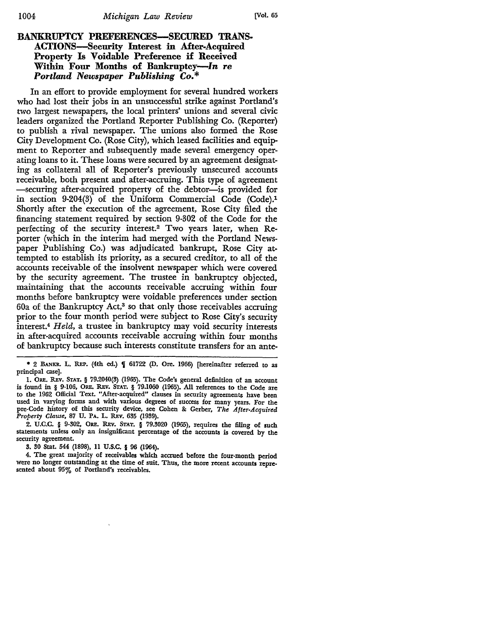## BANKRUPTCY PREFERENCES-SECURED TRANS-**ACTIONS-Security Interest** in **After-Acquired Property** Is **Voidable Preference** if **Received Within Four Months of Bankruptcy-In** *re Portland Newspaper Publishing Co.\**

In an effort to provide employment for several hundred workers who had lost their jobs in an unsuccessful strike against Portland's two largest newspapers, the local printers' unions and several civic leaders organized the Portland Reporter Publishing Co. (Reporter) to publish a rival newspaper. The unions also formed the Rose City Development Co. (Rose City), which leased facilities and equipment to Reporter and subsequently made several emergency operating loans to it. These loans were secured by an agreement designating as collateral all of Reporter's previously unsecured accounts receivable, both present and after-accruing. This type of agreement -securing after-acquired property of the debtor-is provided for in section 9-204(3) of the Uniform Commercial Code (Code).1 Shortly after the execution of the agreement, Rose City filed the financing statement required by section 9-302 of the Code for the perfecting of the security interest.2 Two years later, when Reporter (which in the interim had merged with the Portland Newspaper Publishing Co.) was adjudicated bankrupt, Rose City attempted to establish its priority, as a secured creditor, to all of the accounts receivable of the insolvent newspaper which were covered by the security agreement. The trustee in bankruptcy objected, maintaining that the accounts receivable accruing within four months before bankruptcy were voidable preferences under section  $60a$  of the Bankruptcy Act,<sup>3</sup> so that only those receivables accruing prior to the four month period were subject to Rose City's security interest.4 *Held,* a trustee in bankruptcy may void security interests in after-acquired accounts receivable accruing within four months of bankruptcy because such interests constitute transfers for an ante-

2. U.C.C. § 9-302, ORE. REv. STAT. § 79.3020 (1965), requires the filing of such statements unless only an insignificant percentage of the accounts is covered by the security agreement.

3. 30 Stat. 544 (1898), 11 U.S.C. § 96 (1964).

4. The great majority of receivables which accrued before the four-month period were no longer outstanding at the time of suit. Thus, the more recent accounts represented about 95% of Portland's receivables.

<sup>\* 2</sup> BANKR. L. REP. (4th ed.)  $\int$  61722 (D. Ore. 1966) [hereinafter referred to as principal case].

<sup>1.</sup> ORE. REY. STAT. § 79.2040(3) (1965). The Code's general definition of an account is found in § 9-106, ORE. REv. STAT. § 79.1060 (1965). All references to the Code are to the 1962 Official Text. "After-acquired" clauses in security agreements have been used in varying forms and with various degrees of success for many years. For the pre-Code history of this security device, see Cohen & Gerber, *The After-Acquired Property Clause,* 87 U. PA. L. REV. 635 (1939).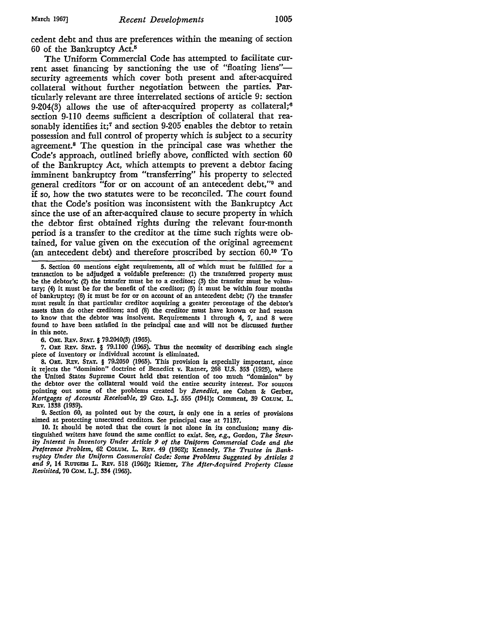cedent debt and thus are preferences within the meaning of section 60 of the Bankruptcy Act.<sup>5</sup>

The Uniform Commercial Code has attempted to facilitate current asset financing by sanctioning the use of "floating liens"security agreements which cover both present and after-acquired collateral without further negotiation between the parties. Particularly relevant are three interrelated sections of article 9: section 9-204(3) allows the use of after-acquired property as collateral;<sup>6</sup> section 9-110 deems sufficient a description of collateral that reasonably identifies it;<sup>7</sup> and section 9-205 enables the debtor to retain possession and full control of property which is subject to a security agreement.<sup>8</sup> The question in the principal case was whether the Code's approach, outlined briefly above, conflicted with section 60 of the Bankruptcy Act, which attempts to prevent a debtor facing imminent bankruptcy from "transferring" his property to selected general creditors "for or on account of an antecedent debt,"9 and if so, how the two statutes were to be reconciled. The court found that the Code's position was inconsistent with the Bankruptcy Act since the use of an after-acquired clause to secure property in which the debtor first obtained rights during the relevant four-month period is a transfer to the creditor at the time such rights were obtained, for value given on the execution of the original agreement (an antecedent debt) and therefore proscribed by section 60.10 To

5. Section 60 mentions eight requirements, all of which must be fulfilled for a transaction to be adjudged a voidable preference: (1) the transferred property must be the debtor's; (2) the transfer must be to a creditor; (3) the transfer must be voluntary; (4) it must be for the benefit of the creditor; (5) it must be within four months of bankruptcy; (6) it must be for or on account of an antecedent debt; (7) the transfer must result in that particular creditor acquiring a greater percentage of the debtor's assets than do other creditors; and (8) the creditor must have known or had reason to know that the debtor was insolvent. Requirements 1 through 4, 7, and 8 were found to have been satisfied in the principal case and will not be discussed further in this note.

6, ORE. REY. STAT. § 79.2040(3) (1965).

7. ORE REY. STAT. § 79.1100 (1965). Thus the necessity of describing each single piece of inventory or individual account is eliminated.

8. ORE. REY. STAT. § 79.2050 (1965). This provision is especially important, since it rejects the "dominion" doctrine of Benedict v. Ratner, 268 U.S. 353 (1925), where the United States Supreme Court held that retention of too much "dominion" by the debtor over the collateral would void the entire security interest. For sources pointing out some of the problems created by *Benedict,* see Cohen & Gerber, *Mortgages of Accounts Receivable,* 29 GEO. LJ. 555 (1941); Comment, 39 CoLUM. L. REV. 1338 (1939).

9. Section 60, as pointed out by the court, is only one in a series of provisions aimed at protecting unsecured creditors. See principal case at 71137.

10. It should be noted that the court is not alone in its conclusion; many distinguished writers have found the same conflict to exist. See, *e.g.,* Gordon, *The Security Interest in Inventory Under Article 9 of the Uniform Commercial Code and the Preference Problem,* 62 CoLUM. L. REv. 49 (1962); Kennedy, *The Tnsstee in Bankruptcy Under the Uniform Commercial Code: Some Problems Suggested by Articles 2 and 9,* 14 RUTGERS L. REv. 518 (1960); Riemer, *The After-Acquired Property Clause Revisited, 70 COM. L.J. 334 (1965).*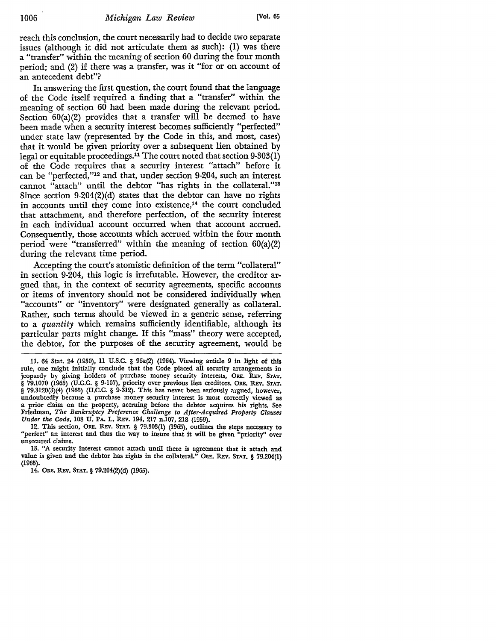reach this conclusion, the court necessarily had to decide two separate issues (although it did not articulate them as such): (I) was there a "transfer" within the meaning of section 60 during the four month period; and (2) if there was a transfer, was it "for or on account of an antecedent debt"?

In answering the first question, the court found that the language of the Code itself required a finding that a "transfer" within the meaning of section 60 had been made during the relevant period. Section  $60(a)(2)$  provides that a transfer will be deemed to have been made when a security interest becomes sufficiently "perfected" under state law (represented by the Code in this, and most, cases) that it would be given priority over a subsequent lien obtained by legal or equitable proceedings.11 The court noted that section 9-303(1) of the Code requires that a security interest "attach" before it can be "perfected,"12 and that, under section 9-204, such an interest cannot "attach" until the debtor "has rights in the collateral."13 Since section 9-204(2)(d) states that the debtor can have no rights in accounts until they come into existence,<sup>14</sup> the court concluded that attachment, and therefore perfection, of the security interest in each individual account occurred when that account accrued. Consequently, those accounts which accrued within the four month period were "transferred" within the meaning of section  $60(a)(2)$ during the relevant time period.

Accepting the court's atomistic definition of the term "collateral" in section 9-204, this logic is irrefutable. However, the creditor argued that, in the context of security agreements, specific accounts or items of inventory should not be considered indiyidually **when**  "accounts" or "inventory" were designated generally as collateral. Rather, such terms should be viewed in a generic sense, referring to a *quantity* which remains sufficiently identifiable, although its particular parts might change. If this "mass" theory were accepted, the debtor, for the purposes of the security agreement, would be

14. ORE. REv. STAT.§ 79.204(2)(d) (1965).

<sup>11. 64</sup> Stat. 24 (1950), 11 U.S.C. § 96a(2) (1964). Viewing article 9 in light of this rule, one might initially conclude that the Code placed all security arrangements in jeopardy by giving holders of purchase money security interests, ORE. REv. STAT, § 79.1070 (1965) (U.C.C. § 9-107), priority over previous lien creditors. ORE. REv. STAT.  $\S$  79.3120(3)(4) (1965) (U.C.C.  $\S$  9-312). This has never been seriously argued, however, undoubtedly because a purchase money security interest is most correctly viewed as a prior claim on the property, accruing before the debtor acquires his rights. See Friedman, *The Bankruptcy Preference Challenge to After-Acquired Property Clauses Under the Code,* 108 U. PA. L. REv. 194, 217 n.107, 218 (1959).

<sup>12.</sup> This section, ORE. REv. STAT. § 79.303(1) (1965), outlines the steps necessary to "perfect" an interest and thus the way to insure that it will be given "priority" over unsecured claims.

<sup>13. &</sup>quot;A security interest cannot attach until there is agreement that it attach and value is given and the debtor has rights in the collateral." ORE. REv. STAT. § 79.204(1) (1965).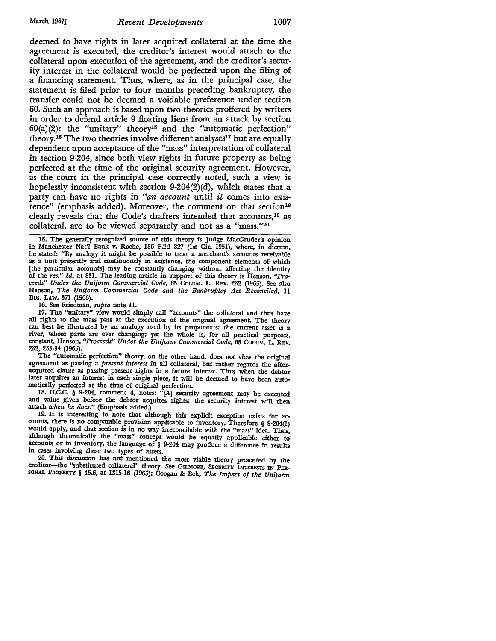deemed to have rights in later acquired collateral at the time the agreement is executed, the creditor's interest would attach to the collateral upon execution of the agreement, and the creditor's security interest in the collateral would be perfected upon the filing of a financing statement. Thus, where, as in the principal case, the statement is filed prior to four months preceding bankruptcy, the transfer could not be deemed a voidable preference under section 60. Such an approach is based upon two theories proffered by writers in order to defend article 9 floating liens from an attack by section  $60(a)(2)$ : the "unitary" theory<sup>15</sup> and the "automatic perfection" theory.<sup>16</sup> The two theories involve different analyses<sup>17</sup> but are equally dependent upon acceptance of the "mass" interpretation of collateral in section 9-204, since both view rights in future property as being perfected at the time of the original security agreement. However, as the court in the principal case correctly noted, such a view is hopelessly inconsistent with section 9-204(2)(d), which states that a party can have no rights in *"an account* until *it* comes into existence" (emphasis added). Moreover, the comment on that section<sup>18</sup> clearly reveals that the Code's drafters intended that accounts,19 as collateral, are to be viewed separately and not as a "mass.''20

15. The generally recognized source of this theory is Judge MacGruder's opinion in Manchester Nat'l Bank v. Roche, 186 F.2d 827 (1st Cir. 1951), where, in dictum, he stated: "By analogy it might be possible to treat a merchant's accounts receivable as a unit presently and continuously in existence, the component elements of which (the particular accounts] may be constantly changing without affecting the identity of the *res." Id.* at 831. The leading article in support of this theory is Henson, "Pro*ceeds" Under the Uniform Commercial Code,* 65 CoLuM. L. REv. 232 (1965). See also Henson, *The Uniform Commercial Code and the Bankruptcy Act Reconciled,* 11 .Bus. LAW. 371 (1966).

16. See Friedman, *supra* note 11.

17. The "unitary" view would simply call "accounts" the collateral and thus have all rights to the mass pass at the execution of the original agreement. The theory can best be illustrated by an analogy used by its proponents: the current asset is a river, whose parts are ever changing; yet the whole is, for all practical purposes, constant. Henson, *"Proceeds" Under the Uniform Commercial Code,* 65 COLUM, L. REv. 232, 233-34 (1965).

The "automatic perfection" theory, on the other hand, does not view the original agreement as passing a *present interest* in all collateral, but rather regards the afteracquired clause as passing present rights in a future interest. Thus when the debtor later acquires an interest in each single piece, it will be deemed to have been automatically perfected at the time of original perfection.

18. U.C.C. § 9-204, comment 4, notes: "(A] security agreement may be executed and value given before the debtor acquires rights; the security interest will then attach *when he does."* (Emphasis added.)

19. It is interesting to note that although this explicit exception exists for accounts, there is no comparable provision applicable to inventory. Therefore § 9-204(1) would apply, and that section is in no way irreconcilable with the "mass" idea. Thus, although theoretically the "mass" concept would be equally applicable either to accounts or to inventory, the language of § 9-204 may produce a difference in results in cases involving these two types of assets.

20. This discussion has not mentioned the most viable theory presented by the creditor-the "substituted collateral" theory. See GILMORE, SECURITY INTERESTS IN PERsonal Property § 45.6, at 1315-16 (1965); Coogan & Bok, *The Impact of the Uniform*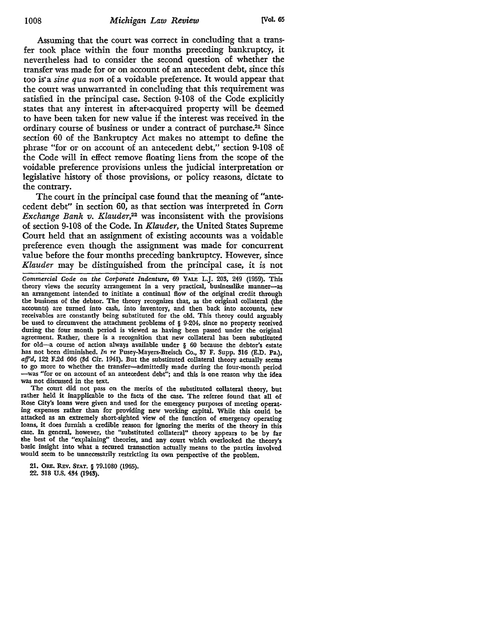Assuming that the court was correct in concluding that a transfer took place within the four months preceding bankruptcy, it nevertheless had to consider the second question of whether the transfer was made for or on account of an antecedent debt, since this too is' a *sine qua non* of a voidable preference. It would appear that the court was unwarranted in concluding that this requirement was satisfied in the principal case. Section 9-108 of the Code explicitly states that any interest in after-acquired property will be deemed to have been taken for new value if the interest was received in the ordinary course of business or under a contract of purchase.21 Since section 60 of the Bankruptcy Act makes no attempt to define the phrase "for or on account of an antecedent debt," section 9-108 of the Code will in effect remove floating liens from the scope of the voidable preference provisions unless the judicial interpretation or legislative history of those provisions, or policy reasons, dictate to the contrary.

The court in the principal case found that the meaning of "antecedent debt" in section 60, as that section was interpreted in *Corn Exchange Bank v. Klauder,22* was inconsistent with the provisions of section 9-108 of the Code. In *Klauder,* the United States Supreme Court held that an assignment of existing accounts was a voidable preference even though the assignment was made for concurrent value before the four months preceding bankruptcy. However, since *Klauder* may be distinguished from the principal case, it is not

*Commercial Code on the Corporate Indenture,* 69 YALE L.J. 203, 249 (1959). This theory views the security arrangement in a very practical, businesslike manner-as an arrangement intended to initiate a continual flow of the original credit through the business of the debtor. The theory recognizes that, as the original collateral (the accounts) are turned into cash, into inventory, and then back into accounts, new receivables are constantly being substituted for the old. This theory could arguably be used to circumvent the attachment problems of § 9-204, since no property received during the four month period is viewed as having been passed under the original agreement. Rather, there is a recognition that new collateral has been substituted for old-a course of action always available under § 60 because the debtor's estate has not been diminished. *In re* Pusey-Mayers-Breisch Co., 37 F. Supp. 316 (E.D. Pa.), *afj'd,* 122 F.2d 606 (3d Cir. 1941). But the substituted collateral theory actually seems to go more to whether the transfer-admittedly made during the four-month period -was "for or on account of an antecedent debt"; and this is one reason why the idea was not discussed in the text.

The court did not pass on the merits of the substituted collateral theory, but rather held it inapplicable to the facts of the case. The referee found that all of Rose City's loans were given and used for the emergency purposes of meeting operating expenses rather than for providing new working capital. While this could be attacked as an extremely short-sighted view of the function of emergency operating loans, it does furnish a credible reason for ignoring the merits of the theory in this case. In general, however, the "substituted collateral" theory appears to be by far the best of the "explaining" theories, and any court which overlooked the theory's basic insight into what a secured transaction actually means to the parties involved would seem to be unnecessarily restricting its own perspective of the problem.

21. ORE. REv. STAT. § 79.1080 (1965).

22. 318 U.S. 434 (1943).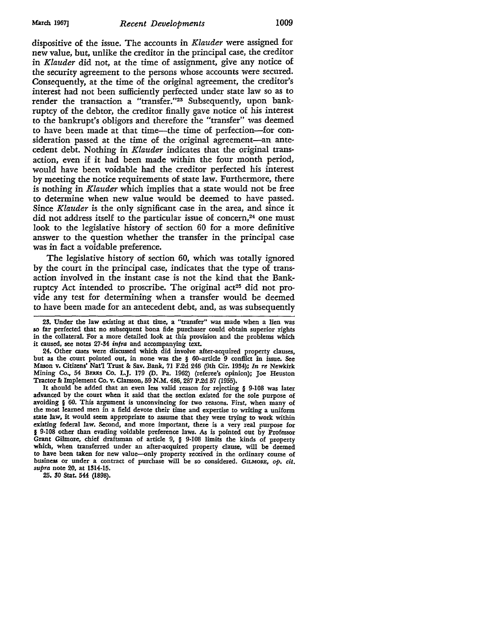dispositive of the issue. The accounts in *Klauder* were assigned for new value, but, unlike the creditor in the principal case, the creditor in *Klauder* did not, at the time of assignment, give any notice of the security agreement to the persons whose accounts were secured. Consequently, at the time of the original agreement, the creditor's interest had not been sufficiently perfected under state law so as to render the transaction a "transfer."<sup>23</sup> Subsequently, upon bankruptcy of the debtor, the creditor finally gave notice of his interest to the bankrupt's obligors and therefore the "transfer" was deemed to have been made at that time-the time of perfection-for consideration passed at the time of the original agreement-an antecedent debt. Nothing in *Klauder* indicates that the original transaction, even if it had been made within the four month period, would have been voidable had the creditor perfected his interest by meeting the notice requirements of state law. Furthermore, there is nothing in *Klauder* which implies that a state would not be free to determine when new value would be deemed to have passed. Since *Klauder* is the only significant case in the area, and since it did not address itself to the particular issue of concern,<sup>24</sup> one must look to the legislative history of section 60 for a more definitive answer to the question whether the transfer in the principal case was in fact a voidable preference.

The legislative history of section 60, which was totally ignored by the court in the principal case, indicates that the type of transaction involved in the instant case is not the kind that the Bankruptcy Act intended to proscribe. The original act<sup>25</sup> did not provide any test for determining when a transfer would be deemed to have been made for an antecedent debt, and, as was subsequently

24. Other cases were discussed which did involve after-acquired property clauses, but as the court pointed out, in none was the § 60-article 9 conflict in issue. See Mason v. Citizens' Nat'l Trust & Sav. Bank, 71 F.2d 246 (9th Cir. 1934); *In re* Newkirk Mining Co., 54 BERKS Co. L.J. 179 (D. Pa. 1962) (referee's opinion); Joe Heuston Tractor&: Implement Co. v. Clarsson, 59 **N.M.** 486, 287 P .2d 57 (1955).

It should be added that an even less valid reason for rejecting § 9-108 was later advanced by the court when it said that the section existed for the sole purpose of avoiding § 60. This argument is unconvincing for two reasons. First, when many of the most learned men in a field devote their time and expertise to writing a uniform state law, it would seem appropriate to assume that they were trying to work within existing federal law. Second, and more important, there is a very real purpose for § 9-108 other than evading voidable preference laws. As is pointed out by Professor Grant Gilmore, chief draftsman of article 9, § 9-108 limits the kinds of property which, when transferred under an after-acquired property clause, will be deemed to have been taken for new value-only property received in the ordinary course of business or under a contract of purchase will be so considered. GILMORE, op. cit. supra note 20, at 1314-15.

25. 30 Stat. 544 (1898).

<sup>23.</sup> Under the law existing at that time, a "transfer" was made when a lien was so far perfected that no subsequent bona fide purchaser could obtain superior rights in the collateral. For a more detailed look at this provision and the problems which it caused, see notes 27-34 infra and accompanying text.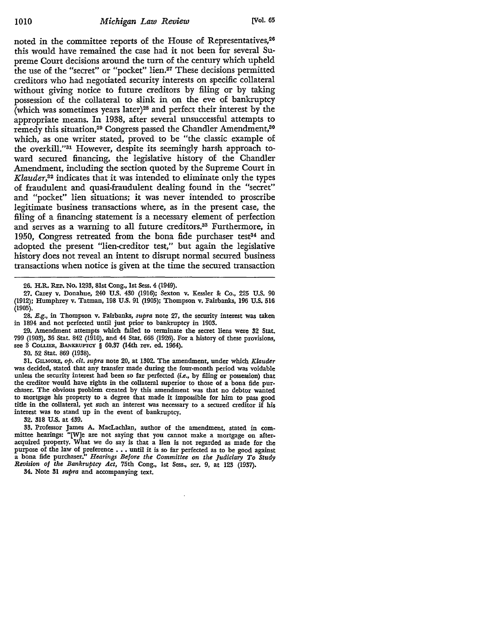noted in the committee reports of the House of Representatives,<sup>26</sup> this would have remained the case had it not been for several Supreme Court decisions around the turn of the century which upheld the use of the "secret" or "pocket" lien.27 These decisions permitted creditors who had negotiated security interests on specific collateral without giving notice to future creditors by filing or by taking possession of the collateral to slink in on the eve of bankruptcy (which was sometimes years later)28 and perfect their interest by the appropriate means. In 1938, after several unsuccessful attempts to remedy this situation,<sup>29</sup> Congress passed the Chandler Amendment,<sup>30</sup> which, as one writer stated, proved to be "the classic example of the overkill."31 However, despite its seemingly harsh approach toward secured financing, the legislative history of the Chandler Amendment, including the section quoted by the Supreme Court in *Klauder,* 32 indicates that it was intended to eliminate only the types of fraudulent and quasi-fraudulent dealing found in the "secret" and "pocket" lien situations; it was never intended to proscribe legitimate business transactions where, as in the present case, the filing of a financing statement is a necessary element of perfection and serves as a warning to all future creditors.33 Furthermore, in 1950, Congress retreated from the bona fide purchaser test<sup>34</sup> and adopted the present "lien-creditor test," but again the legislative history does not reveal an intent to disrupt normal secured business transactions when notice is given at the time the secured transaction

27. Carey v. Donahue, 240 U.S. 430 (1916); Sexton v. Kessler &: Co., 225 U.S. 90 (1912); Humphrey v. Tatman, 198 U.S. 91 (1905); Thompson v. Fairbanks, 196 U.S. 516 (1905).

28. *E.g.,* in Thompson v. Fairbanks, *supra* note 27, the security interest was taken in 1894 and not perfected until just prior to bankruptcy in 1903.

29. Amendment attempts which failed to terminate the secret liens were 32 Stat. 799 (1903), 36 Stat. 842 (1910), and 44 Stat. 666 (1926). For a history of these provisions, see 3 COLLIER, BANKRUPTCY § 60.37 (14th rev. ed. 1964).

30. 52 Stat. 869 (1938).

31. GILMORE, *op. cit. supra* note 20, at 1302. The amendment, under which *Klauder*  was decided, stated that any transfer made during the four-month period was voidable unless the security interest had been so far perfected *(i.e.,* by filing or possession) that the creditor would have rights in the collateral superior to those of a bona fide purchaser. The obvious problem created by this amendment was that no debtor wanted to mortgage his property to a degree that made it impossible for him to pass good title in the collateral, yet such an interest was necessary to a secured creditor if his interest was to stand up in the event of bankruptcy.

32. 318 U.S. at 439.

33. Professor James A. MacLachlan, author of the amendment, stated in committee hearings: "[W]e are not saying that you cannot make a mortgage on afteracquired property. What we do say is that a lien is not regarded as made for the purpose of the law of preference . . . until it is so far perfected as to be good against a bona fide purchaser." *Hearings Before the Committee on the Judiciary To Study Revision of the Bankruptcy Act,* 75th Cong., 1st Sess., ser. 9, at 123 (1937).

34. Note 31 *supra* and accompanying text.

<sup>26.</sup> H.R. REP. No. 1293, 81st Cong., 1st Sess. 4 (1949).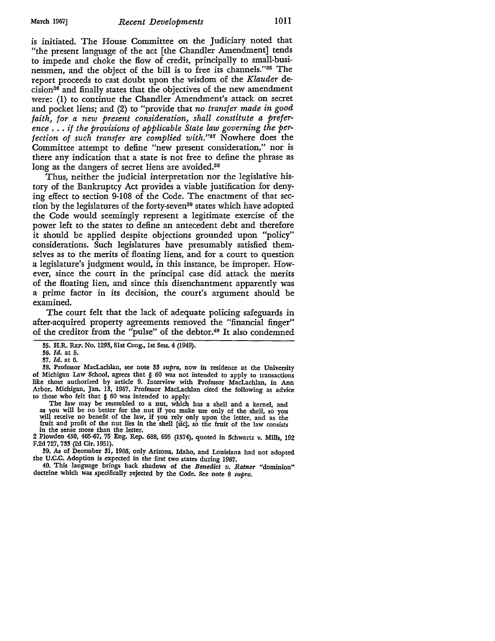is initiated. The House Committee on the Judiciary noted that "the present language of the act [the Chandler Amendment] tends to impede and choke the flow of credit, principally to small-businessmen, and the object of the bill is to free its channels."35 The report proceeds to cast doubt upon the wisdom of the *Klauder* decision36 and finally states that the objectives of the new amendment were: (1) to continue the Chandler Amendment's attack on secret and pocket liens; and (2) to "provide that *no transfer made in good faith, for a new present consideration, shall constitute a preference* ... *if the provisions of applicable State law governing the perfection of such transfer are complied with."31* Nowhere does the Committee attempt to define "new present consideration," nor is there any indication that a state is not free to define the phrase as long as the dangers of secret liens are avoided.<sup>38</sup>

Thus, neither the judicial interpretation nor the legislative history of the Bankruptcy Act provides a viable justification for denying effect to section 9-108 of the Code. The enactment of that section by the legislatures of the forty-seven<sup>39</sup> states which have adopted the Code would seemingly represent a legitimate exercise of the power left to the states to define an antecedent debt and therefore it should be applied despite objections grounded upon "policy" considerations. Such legislatures have presumably satisfied themselves as to the merits of floating liens, and for a court to question a legislature's judgment would, in this instance, be improper. However, since the court in the principal case did attack the merits of the floating lien, and since this disenchantment apparently was a prime factor in its decision, the court's argument should be examined.

The court felt that the lack of adequate policing safeguards in after-acquired property agreements removed the "financial finger" of the creditor from the "pulse" of the debtor.40 It also condemned

36. *Id.* at 5.

37. *Id.* at 6.

38. Professor MacLachlan, see note 33 *supra,* now in residence at the University of Michigan Law School, agrees that § 60 was not intended to apply to transactions like those authorized by article 9. Interview with Professor MacLachlan, in Ann Arbor, Michigan, Jan. 13, 1967. Professor MacLachlan cited the following as advice to those who felt that § 60 was intended to apply:

The law may be resembled to a nut, which has a shell and a kernel, and as you will be no better for the nut if you make use only of the shell, so you will receive no benefit of the law, if you rely only upon the letter, and as the fruit and profit of the nut lies in the shell [sic], so the fruit of the law consists in the sense more than the letter.

2 Plowden 450, 465-67, 75 Eng. Rep. 688, 695 (1574), quoted in Schwartz v. Mills, 192 F.2d 727, 733 (2d Cir. 1951).

39. As of December 31, 1966, only Arizona, Idaho, and Louisiana had not adopted the U.C.C. Adoption is expected in the first two states during 1967.

40. This language brings back shadows of the *Benedict v. Ratner* "dominion" doctrine which was specifically rejected by the Code. See note 8 *supra.* 

<sup>35.</sup> H.R. REP. No. 1293, 81st Cong., 1st Sess. 4 (1949).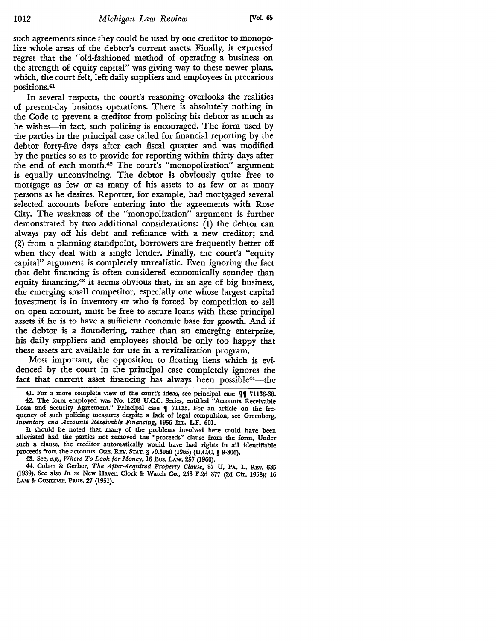such agreements since they could be used by one creditor to monopolize whole areas of the debtor's current assets. Finally, it expressed regret that the "old-fashioned method of operating a business on the strength of equity capital" was giving way to these newer plans, which, the court felt, left daily suppliers and employees in precarious positions.41

In several respects, the court's reasoning overlooks the realities of present-day business operations. There is absolutely nothing in the Code to prevent a creditor from policing his debtor as much as he wishes—in fact, such policing is encouraged. The form used by the parties in the principal case called for financial reporting by the debtor forty-five days after each fiscal quarter and was modified by the parties so as to provide for reporting within thirty days after the end of each month.42 The court's "monopolization" argument is equally unconvincing. The debtor is obviously quite free to mortgage as few or as many of his assets to as few or as many persons as he desires. Reporter, for example, had mortgaged several selected accounts before entering into the agreements with Rose City. The weakness of the "monopolization" argument is further demonstrated by two additional considerations: (1) the debtor can always pay off his debt and refinance with a new creditor; and (2) from a planning standpoint, borrowers are frequently better off when they deal with a single lender. Finally, the court's "equity capital" argument is completely unrealistic. Even ignoring the fact that debt financing is often considered economically sounder than equity financing,43 it seems obvious that, in an age of big business, the emerging small competitor, especially one whose largest capital investment is in inventory or who is forced by competition to sell on open account, must be free to secure loans with these principal assets if he is to have a sufficient economic base for growth. And if the debtor is a floundering, rather than an emerging enterprise, his daily suppliers and employees should be only too happy that these assets are available for use in a revitalization program.

Most important, the opposition to floating liens which is evidenced by the court in the principal case completely ignores the fact that current asset financing has always been possible<sup>44</sup>-the

<sup>41.</sup> For a more complete view of the court's ideas, see principal case **11** 71136-38.

<sup>42.</sup> The form employed was No. 1208 U.C.C. Series, entitled "Accounts Receivable Loan and Security Agreement." Principal case **1** 71135. For an article on the frequency of such policing measures despite a lack of legal compulsion, see Greenberg, *Inventory and Accounts Receivable Finandng,* 1956 ILL. L.F, 601.

It should be noted that many of the problems involved here could have been alleviated had the parties not removed the "proceeds" clause from the form. Under such a clause, the creditor automatically would have had rights in all identifiable proceeds from the accounts. ORE. REv. STAT. § 79.3060 (1965) (U.C.C. § 9-306).

<sup>43.</sup> See, *e.g., Where To Look for Money,* 16 Bus. LAw. 257 (1960).

<sup>44.</sup> Cohen &: Gerber, *The After-Acquired Property Clause,* 87 U, **PA. L. REv.** 635 (1939). See also *In re* New Haven Clock &: Watch Co., 253 F.2d 377 (2d Cir, 1958); 16 LAW & CONTEMP. PROB.  $27$  (1951).